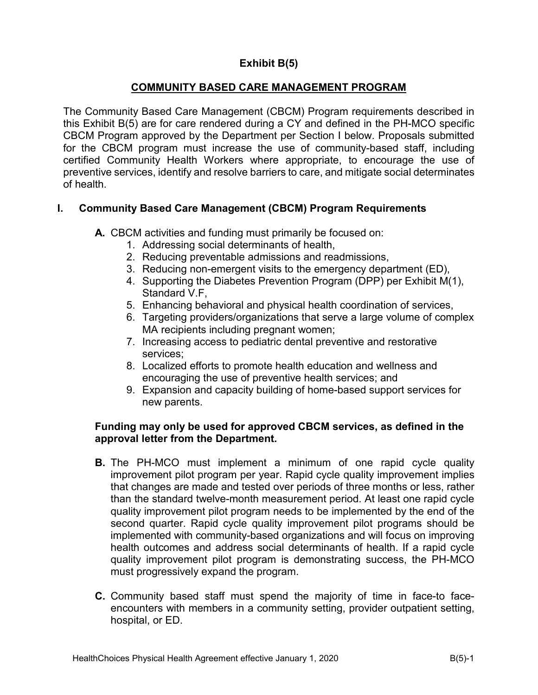# **Exhibit B(5)**

#### **COMMUNITY BASED CARE MANAGEMENT PROGRAM**

 CBCM Program approved by the Department per Section I below. Proposals submitted of health. The Community Based Care Management (CBCM) Program requirements described in this Exhibit B(5) are for care rendered during a CY and defined in the PH-MCO specific for the CBCM program must increase the use of community-based staff, including certified Community Health Workers where appropriate, to encourage the use of preventive services, identify and resolve barriers to care, and mitigate social determinates

## **I. Community Based Care Management (CBCM) Program Requirements**

- **A.** CBCM activities and funding must primarily be focused on:
	- 1. Addressing social determinants of health,
	- 2. Reducing preventable admissions and readmissions,
	- 3. Reducing non-emergent visits to the emergency department (ED),
	- 4. Supporting the Diabetes Prevention Program (DPP) per Exhibit M(1), Standard V.F,
	- 5. Enhancing behavioral and physical health coordination of services,
	- 6. Targeting providers/organizations that serve a large volume of complex MA recipients including pregnant women;
	- 7. Increasing access to pediatric dental preventive and restorative services;
	- 8. Localized efforts to promote health education and wellness and encouraging the use of preventive health services; and
	- new parents. 9. Expansion and capacity building of home-based support services for

#### approval letter from the Department. **Funding may only be used for approved CBCM services, as defined in the**

- than the standard twelve-month measurement period. At least one rapid cycle must progressively expand the program. **B.** The PH-MCO must implement a minimum of one rapid cycle quality improvement pilot program per year. Rapid cycle quality improvement implies that changes are made and tested over periods of three months or less, rather quality improvement pilot program needs to be implemented by the end of the second quarter. Rapid cycle quality improvement pilot programs should be implemented with community-based organizations and will focus on improving health outcomes and address social determinants of health. If a rapid cycle quality improvement pilot program is demonstrating success, the PH-MCO
- hospital, or ED. **C.** Community based staff must spend the majority of time in face-to faceencounters with members in a community setting, provider outpatient setting,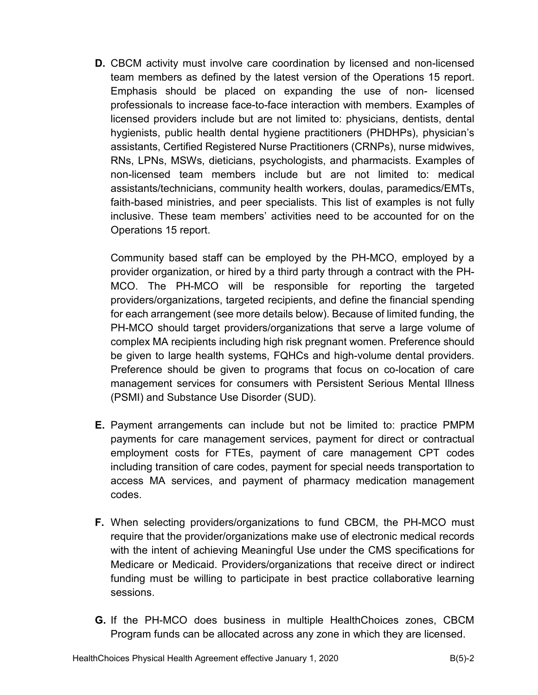team members as defined by the latest version of the Operations 15 report. faith-based ministries, and peer specialists. This list of examples is not fully **D.** CBCM activity must involve care coordination by licensed and non-licensed Emphasis should be placed on expanding the use of non- licensed professionals to increase face-to-face interaction with members. Examples of licensed providers include but are not limited to: physicians, dentists, dental hygienists, public health dental hygiene practitioners (PHDHPs), physician's assistants, Certified Registered Nurse Practitioners (CRNPs), nurse midwives, RNs, LPNs, MSWs, dieticians, psychologists, and pharmacists. Examples of non-licensed team members include but are not limited to: medical assistants/technicians, community health workers, doulas, paramedics/EMTs, inclusive. These team members' activities need to be accounted for on the Operations 15 report.

 providers/organizations, targeted recipients, and define the financial spending management services for consumers with Persistent Serious Mental Illness (PSMI) and Substance Use Disorder (SUD). Community based staff can be employed by the PH-MCO, employed by a provider organization, or hired by a third party through a contract with the PH-MCO. The PH-MCO will be responsible for reporting the targeted for each arrangement (see more details below). Because of limited funding, the PH-MCO should target providers/organizations that serve a large volume of complex MA recipients including high risk pregnant women. Preference should be given to large health systems, FQHCs and high-volume dental providers. Preference should be given to programs that focus on co-location of care

- employment costs for FTEs, payment of care management CPT codes including transition of care codes, payment for special needs transportation to **E.** Payment arrangements can include but not be limited to: practice PMPM payments for care management services, payment for direct or contractual access MA services, and payment of pharmacy medication management codes.
- with the intent of achieving Meaningful Use under the CMS specifications for Medicare or Medicaid. Providers/organizations that receive direct or indirect **F.** When selecting providers/organizations to fund CBCM, the PH-MCO must require that the provider/organizations make use of electronic medical records funding must be willing to participate in best practice collaborative learning sessions.
- Program funds can be allocated across any zone in which they are licensed.<br>HealthChoices Physical Health Agreement effective January 1, 2020 **G.** If the PH-MCO does business in multiple HealthChoices zones, CBCM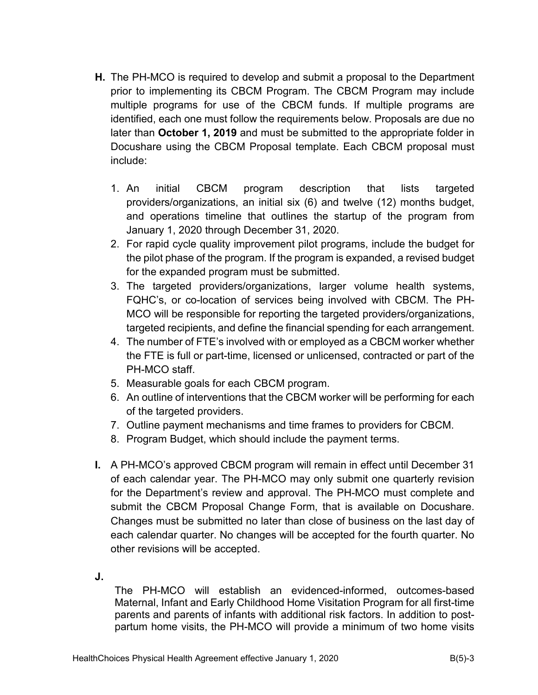- identified, each one must follow the requirements below. Proposals are due no later than **October 1, 2019** and must be submitted to the appropriate folder in Docushare using the CBCM Proposal template. Each CBCM proposal must **H.** The PH-MCO is required to develop and submit a proposal to the Department prior to implementing its CBCM Program. The CBCM Program may include multiple programs for use of the CBCM funds. If multiple programs are include:
	- initial providers/organizations, an initial six (6) and twelve (12) months budget, and operations timeline that outlines the startup of the program from 1. An initial CBCM program description that lists targeted January 1, 2020 through December 31, 2020.
	- 2. For rapid cycle quality improvement pilot programs, include the budget for the pilot phase of the program. If the program is expanded, a revised budget for the expanded program must be submitted.
	- 3. The targeted providers/organizations, larger volume health systems, FQHC's, or co-location of services being involved with CBCM. The PH-MCO will be responsible for reporting the targeted providers/organizations, targeted recipients, and define the financial spending for each arrangement.
	- 4. The number of FTE's involved with or employed as a CBCM worker whether the FTE is full or part-time, licensed or unlicensed, contracted or part of the PH-MCO staff.
	- 5. Measurable goals for each CBCM program.
	- 6. An outline of interventions that the CBCM worker will be performing for each of the targeted providers.
	- 7. Outline payment mechanisms and time frames to providers for CBCM.
	- 8. Program Budget, which should include the payment terms.
- **I.** A PH-MCO's approved CBCM program will remain in effect until December 31 submit the CBCM Proposal Change Form, that is available on Docushare. Changes must be submitted no later than close of business on the last day of of each calendar year. The PH-MCO may only submit one quarterly revision for the Department's review and approval. The PH-MCO must complete and each calendar quarter. No changes will be accepted for the fourth quarter. No other revisions will be accepted.
- **J.**

 Maternal, Infant and Early Childhood Home Visitation Program for all first-time The PH-MCO will establish an evidenced-informed, outcomes-based parents and parents of infants with additional risk factors. In addition to postpartum home visits, the PH-MCO will provide a minimum of two home visits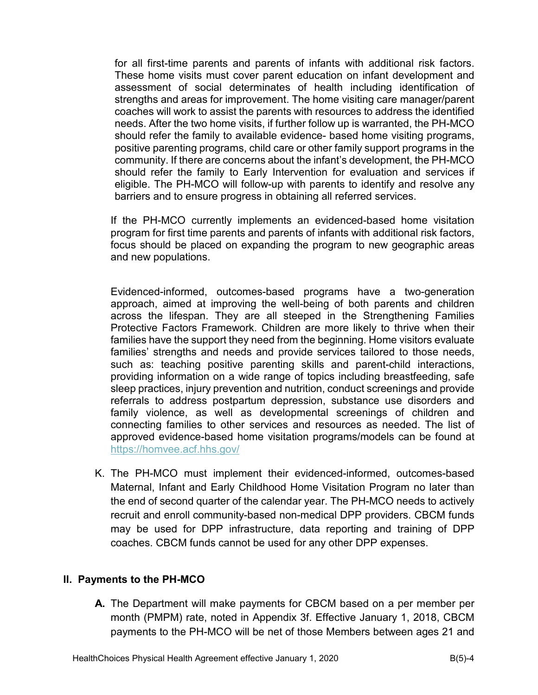for all first-time parents and parents of infants with additional risk factors. should refer the family to available evidence- based home visiting programs, These home visits must cover parent education on infant development and assessment of social determinates of health including identification of strengths and areas for improvement. The home visiting care manager/parent coaches will work to assist the parents with resources to address the identified needs. After the two home visits, if further follow up is warranted, the PH-MCO positive parenting programs, child care or other family support programs in the community. If there are concerns about the infant's development, the PH-MCO should refer the family to Early Intervention for evaluation and services if eligible. The PH-MCO will follow-up with parents to identify and resolve any barriers and to ensure progress in obtaining all referred services.

 If the PH-MCO currently implements an evidenced-based home visitation program for first time parents and parents of infants with additional risk factors, focus should be placed on expanding the program to new geographic areas and new populations.

Evidenced-informed, outcomes-based programs have a two-generation approach, aimed at improving the well-being of both parents and children across the lifespan. They are all steeped in the Strengthening Families Protective Factors Framework. Children are more likely to thrive when their families have the support they need from the beginning. Home visitors evaluate families' strengths and needs and provide services tailored to those needs, such as: teaching positive parenting skills and parent-child interactions, providing information on a wide range of topics including breastfeeding, safe sleep practices, injury prevention and nutrition, conduct screenings and provide referrals to address postpartum depression, substance use disorders and family violence, as well as developmental screenings of children and connecting families to other services and resources as needed. The list of approved evidence-based home visitation programs/models can be found at <https://homvee.acf.hhs.gov/>

 Maternal, Infant and Early Childhood Home Visitation Program no later than coaches. CBCM funds cannot be used for any other DPP expenses. K. The PH-MCO must implement their evidenced-informed, outcomes-based the end of second quarter of the calendar year. The PH-MCO needs to actively recruit and enroll community-based non-medical DPP providers. CBCM funds may be used for DPP infrastructure, data reporting and training of DPP

### **II. Payments to the PH-MCO**

**A.** The Department will make payments for CBCM based on a per member per month (PMPM) rate, noted in Appendix 3f. Effective January 1, 2018, CBCM payments to the PH-MCO will be net of those Members between ages 21 and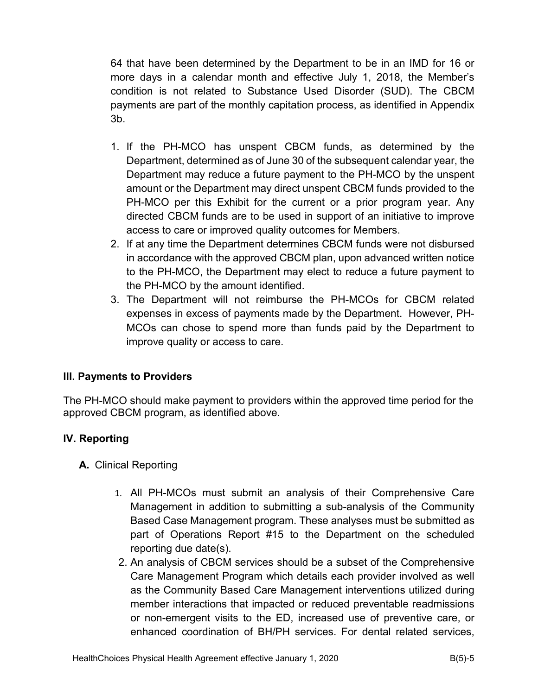64 that have been determined by the Department to be in an IMD for 16 or condition is not related to Substance Used Disorder (SUD). The CBCM payments are part of the monthly capitation process, as identified in Appendix more days in a calendar month and effective July 1, 2018, the Member's 3b.

- PH-MCO per this Exhibit for the current or a prior program year. Any directed CBCM funds are to be used in support of an initiative to improve 1. If the PH-MCO has unspent CBCM funds, as determined by the Department, determined as of June 30 of the subsequent calendar year, the Department may reduce a future payment to the PH-MCO by the unspent amount or the Department may direct unspent CBCM funds provided to the access to care or improved quality outcomes for Members.
- 2. If at any time the Department determines CBCM funds were not disbursed in accordance with the approved CBCM plan, upon advanced written notice to the PH-MCO, the Department may elect to reduce a future payment to the PH-MCO by the amount identified.
- 3. The Department will not reimburse the PH-MCOs for CBCM related expenses in excess of payments made by the Department. However, PH-MCOs can chose to spend more than funds paid by the Department to improve quality or access to care.

## **III. Payments to Providers**

 approved CBCM program, as identified above. The PH-MCO should make payment to providers within the approved time period for the

# **IV. Reporting**

- **A.** Clinical Reporting
	- Based Case Management program. These analyses must be submitted as 1. All PH-MCOs must submit an analysis of their Comprehensive Care Management in addition to submitting a sub-analysis of the Community part of Operations Report #15 to the Department on the scheduled reporting due date(s).
	- 2. An analysis of CBCM services should be a subset of the Comprehensive or non-emergent visits to the ED, increased use of preventive care, or enhanced coordination of BH/PH services. For dental related services, Care Management Program which details each provider involved as well as the Community Based Care Management interventions utilized during member interactions that impacted or reduced preventable readmissions